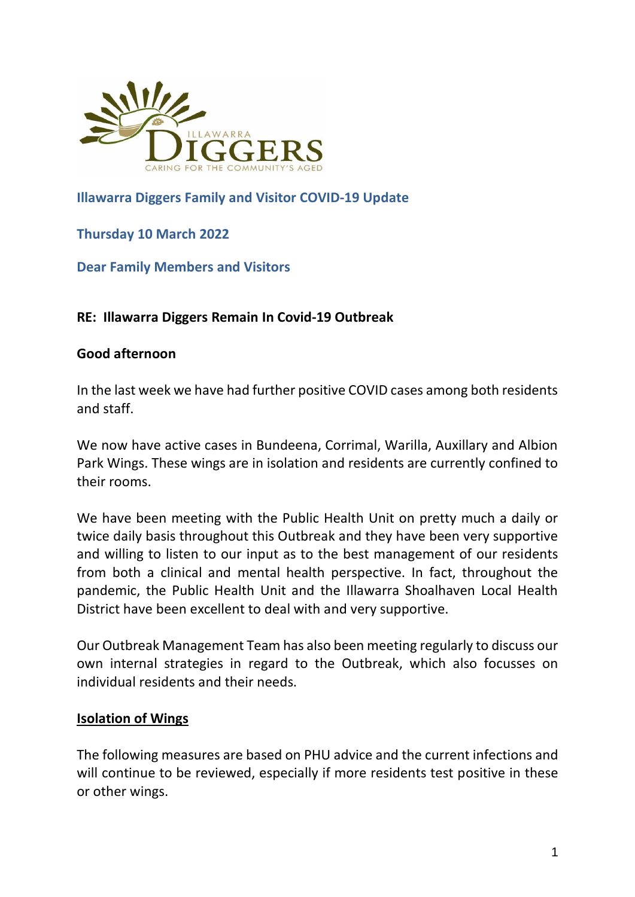

## **Illawarra Diggers Family and Visitor COVID-19 Update**

## **Thursday 10 March 2022**

**Dear Family Members and Visitors**

## **RE: Illawarra Diggers Remain In Covid-19 Outbreak**

### **Good afternoon**

In the last week we have had further positive COVID cases among both residents and staff.

We now have active cases in Bundeena, Corrimal, Warilla, Auxillary and Albion Park Wings. These wings are in isolation and residents are currently confined to their rooms.

We have been meeting with the Public Health Unit on pretty much a daily or twice daily basis throughout this Outbreak and they have been very supportive and willing to listen to our input as to the best management of our residents from both a clinical and mental health perspective. In fact, throughout the pandemic, the Public Health Unit and the Illawarra Shoalhaven Local Health District have been excellent to deal with and very supportive.

Our Outbreak Management Team has also been meeting regularly to discuss our own internal strategies in regard to the Outbreak, which also focusses on individual residents and their needs.

### **Isolation of Wings**

The following measures are based on PHU advice and the current infections and will continue to be reviewed, especially if more residents test positive in these or other wings.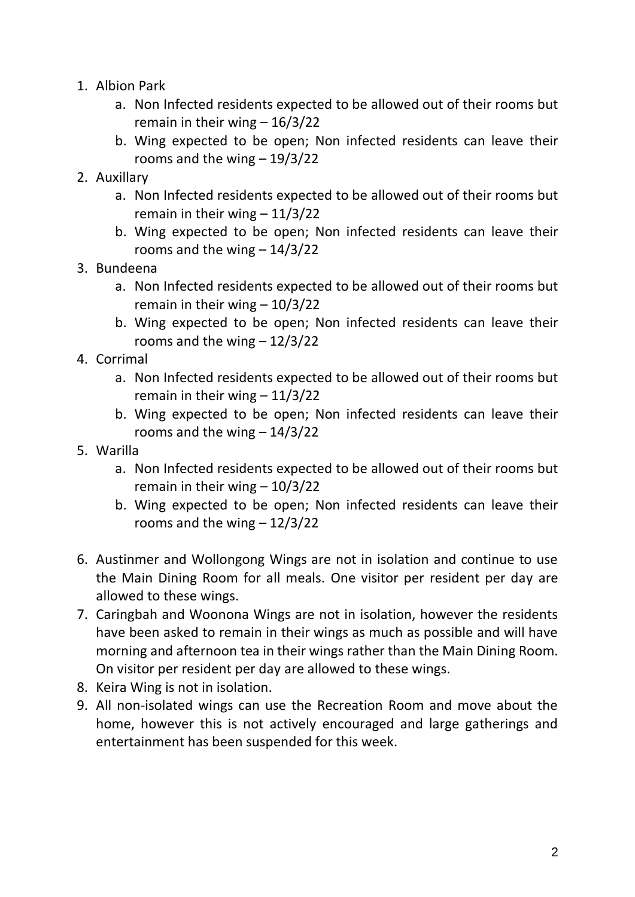- 1. Albion Park
	- a. Non Infected residents expected to be allowed out of their rooms but remain in their wing  $-16/3/22$
	- b. Wing expected to be open; Non infected residents can leave their rooms and the wing – 19/3/22
- 2. Auxillary
	- a. Non Infected residents expected to be allowed out of their rooms but remain in their wing  $-11/3/22$
	- b. Wing expected to be open; Non infected residents can leave their rooms and the wing – 14/3/22
- 3. Bundeena
	- a. Non Infected residents expected to be allowed out of their rooms but remain in their wing – 10/3/22
	- b. Wing expected to be open; Non infected residents can leave their rooms and the wing  $-12/3/22$
- 4. Corrimal
	- a. Non Infected residents expected to be allowed out of their rooms but remain in their wing  $-11/3/22$
	- b. Wing expected to be open; Non infected residents can leave their rooms and the wing – 14/3/22
- 5. Warilla
	- a. Non Infected residents expected to be allowed out of their rooms but remain in their wing – 10/3/22
	- b. Wing expected to be open; Non infected residents can leave their rooms and the wing  $-12/3/22$
- 6. Austinmer and Wollongong Wings are not in isolation and continue to use the Main Dining Room for all meals. One visitor per resident per day are allowed to these wings.
- 7. Caringbah and Woonona Wings are not in isolation, however the residents have been asked to remain in their wings as much as possible and will have morning and afternoon tea in their wings rather than the Main Dining Room. On visitor per resident per day are allowed to these wings.
- 8. Keira Wing is not in isolation.
- 9. All non-isolated wings can use the Recreation Room and move about the home, however this is not actively encouraged and large gatherings and entertainment has been suspended for this week.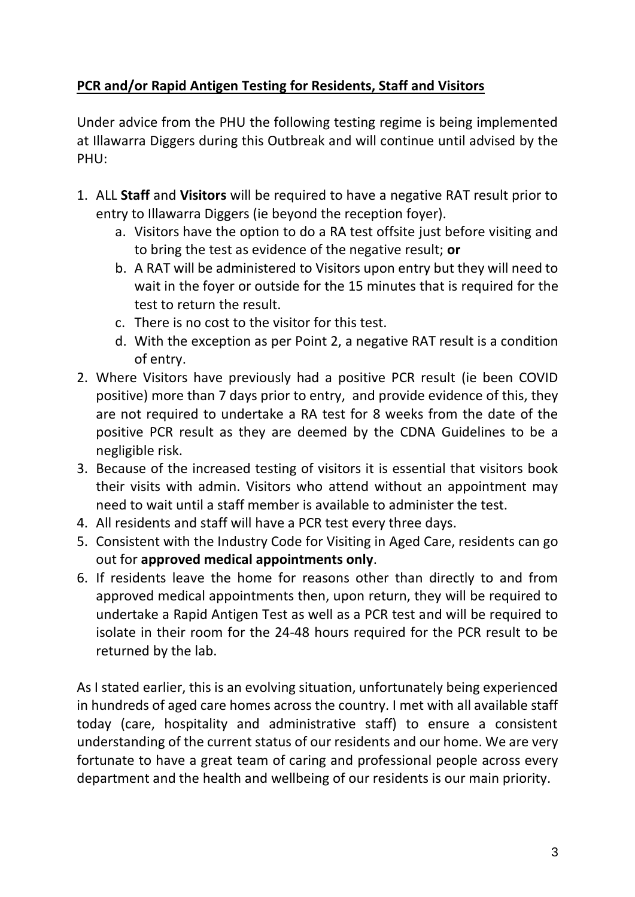# **PCR and/or Rapid Antigen Testing for Residents, Staff and Visitors**

Under advice from the PHU the following testing regime is being implemented at Illawarra Diggers during this Outbreak and will continue until advised by the PHU:

- 1. ALL **Staff** and **Visitors** will be required to have a negative RAT result prior to entry to Illawarra Diggers (ie beyond the reception foyer).
	- a. Visitors have the option to do a RA test offsite just before visiting and to bring the test as evidence of the negative result; **or**
	- b. A RAT will be administered to Visitors upon entry but they will need to wait in the foyer or outside for the 15 minutes that is required for the test to return the result.
	- c. There is no cost to the visitor for this test.
	- d. With the exception as per Point 2, a negative RAT result is a condition of entry.
- 2. Where Visitors have previously had a positive PCR result (ie been COVID positive) more than 7 days prior to entry, and provide evidence of this, they are not required to undertake a RA test for 8 weeks from the date of the positive PCR result as they are deemed by the CDNA Guidelines to be a negligible risk.
- 3. Because of the increased testing of visitors it is essential that visitors book their visits with admin. Visitors who attend without an appointment may need to wait until a staff member is available to administer the test.
- 4. All residents and staff will have a PCR test every three days.
- 5. Consistent with the Industry Code for Visiting in Aged Care, residents can go out for **approved medical appointments only**.
- 6. If residents leave the home for reasons other than directly to and from approved medical appointments then, upon return, they will be required to undertake a Rapid Antigen Test as well as a PCR test and will be required to isolate in their room for the 24-48 hours required for the PCR result to be returned by the lab.

As I stated earlier, this is an evolving situation, unfortunately being experienced in hundreds of aged care homes across the country. I met with all available staff today (care, hospitality and administrative staff) to ensure a consistent understanding of the current status of our residents and our home. We are very fortunate to have a great team of caring and professional people across every department and the health and wellbeing of our residents is our main priority.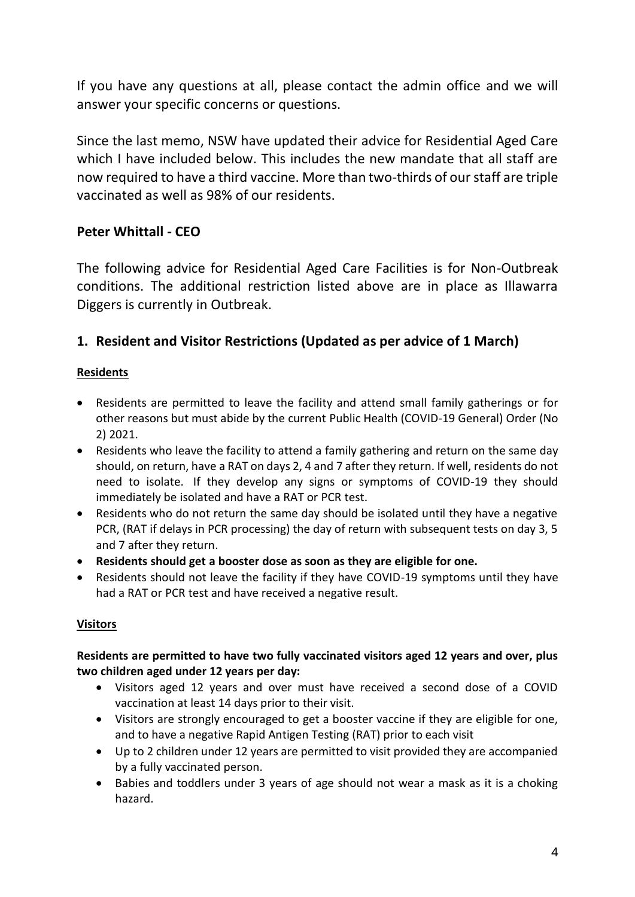If you have any questions at all, please contact the admin office and we will answer your specific concerns or questions.

Since the last memo, NSW have updated their advice for Residential Aged Care which I have included below. This includes the new mandate that all staff are now required to have a third vaccine. More than two-thirds of our staff are triple vaccinated as well as 98% of our residents.

## **Peter Whittall - CEO**

The following advice for Residential Aged Care Facilities is for Non-Outbreak conditions. The additional restriction listed above are in place as Illawarra Diggers is currently in Outbreak.

## **1. Resident and Visitor Restrictions (Updated as per advice of 1 March)**

### **Residents**

- Residents are permitted to leave the facility and attend small family gatherings or for other reasons but must abide by the current [Public Health \(COVID-19 General\)](https://legislation.nsw.gov.au/file/Public%20Health%20%28COVID-19%20Additional%20Restrictions%20for%20Delta%20Outbreak%29%20Order%20%28No%202%29%202021_210927.pdf) Order (No 2) [2021.](https://legislation.nsw.gov.au/file/Public%20Health%20%28COVID-19%20Additional%20Restrictions%20for%20Delta%20Outbreak%29%20Order%20%28No%202%29%202021_210927.pdf)
- Residents who leave the facility to attend a family gathering and return on the same day should, on return, have a RAT on days 2, 4 and 7 after they return. If well, residents do not need to isolate. If they develop any signs or symptoms of COVID-19 they should immediately be isolated and have a RAT or PCR test.
- Residents who do not return the same day should be isolated until they have a negative PCR, (RAT if delays in PCR processing) the day of return with subsequent tests on day 3, 5 and 7 after they return.
- **Residents should get a booster dose as soon as they are eligible for one.**
- Residents should not leave the facility if they have COVID-19 symptoms until they have had a RAT or PCR test and have received a negative result.

### **Visitors**

#### **Residents are permitted to have two fully vaccinated visitors aged 12 years and over, plus two children aged under 12 years per day:**

- Visitors aged 12 years and over must have received a second dose of a COVID vaccination at least 14 days prior to their visit.
- Visitors are strongly encouraged to get a booster vaccine if they are eligible for one, and to have a negative Rapid Antigen Testing (RAT) prior to each visit
- Up to 2 children under 12 years are permitted to visit provided they are accompanied by a fully vaccinated person.
- Babies and toddlers under 3 years of age should not wear a mask as it is a choking hazard.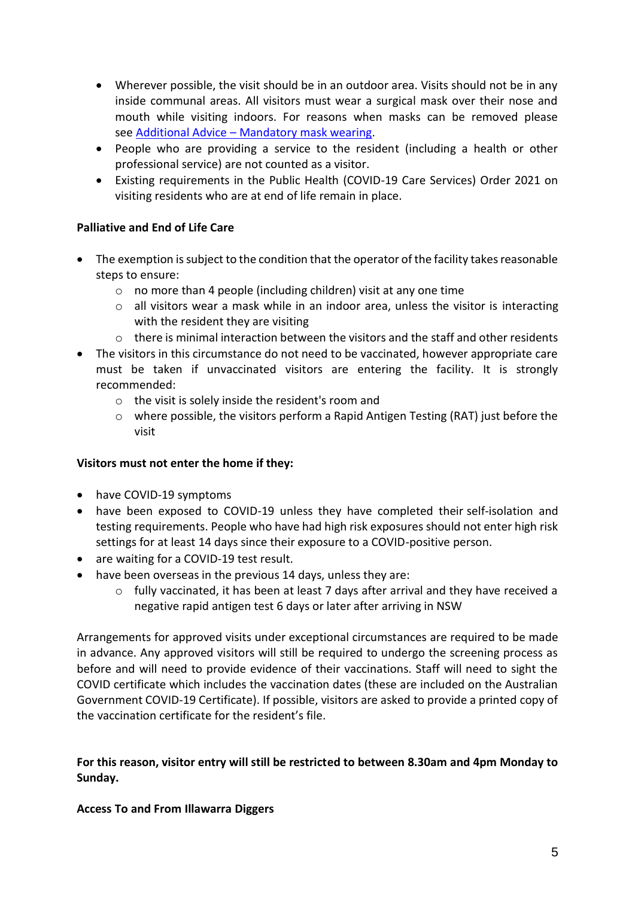- Wherever possible, the visit should be in an outdoor area. Visits should not be in any inside communal areas. All visitors must wear a surgical mask over their nose and mouth while visiting indoors. For reasons when masks can be removed please see Additional Advice – [Mandatory mask wearing.](https://www.health.nsw.gov.au/Infectious/covid-19/Pages/racfs-visits-outings.aspx)
- People who are providing a service to the resident (including a health or other professional service) are not counted as a visitor.
- Existing requirements in the Public Health (COVID-19 Care Services) Order 2021 on visiting residents who are at end of life remain in place.

#### **Palliative and End of Life Care**

- The exemption is subject to the condition that the operator of the facility takes reasonable steps to ensure:
	- o no more than 4 people (including children) visit at any one time
	- $\circ$  all visitors wear a mask while in an indoor area, unless the visitor is interacting with the resident they are visiting
	- $\circ$  there is minimal interaction between the visitors and the staff and other residents
- The visitors in this circumstance do not need to be vaccinated, however appropriate care must be taken if unvaccinated visitors are entering the facility. It is strongly recommended:
	- o the visit is solely inside the resident's room and
	- $\circ$  where possible, the visitors perform a Rapid Antigen Testing (RAT) just before the visit

#### **Visitors must not enter the home if they:**

- have [COVID-19 symptoms](https://www.nsw.gov.au/covid-19/stay-safe/testing/symptoms)
- have been exposed to COVID-19 unless they have completed their [self-isolation and](https://www.health.nsw.gov.au/Infectious/factsheets/Pages/people-exposed-to-covid.aspx)  [testing requirements.](https://www.health.nsw.gov.au/Infectious/factsheets/Pages/people-exposed-to-covid.aspx) People who have had high risk exposures should not enter high risk settings for at least 14 days since their exposure to a COVID-positive person.
- are waiting for a COVID-19 test result.
- have been overseas in the previous 14 days, unless they are:
	- $\circ$  fully vaccinated, it has been at least 7 days after arrival and they have received a negative rapid antigen test 6 days or later after arriving in NSW

Arrangements for approved visits under exceptional circumstances are required to be made in advance. Any approved visitors will still be required to undergo the screening process as before and will need to provide evidence of their vaccinations. Staff will need to sight the COVID certificate which includes the vaccination dates (these are included on the Australian Government COVID-19 Certificate). If possible, visitors are asked to provide a printed copy of the vaccination certificate for the resident's file.

#### **For this reason, visitor entry will still be restricted to between 8.30am and 4pm Monday to Sunday.**

#### **Access To and From Illawarra Diggers**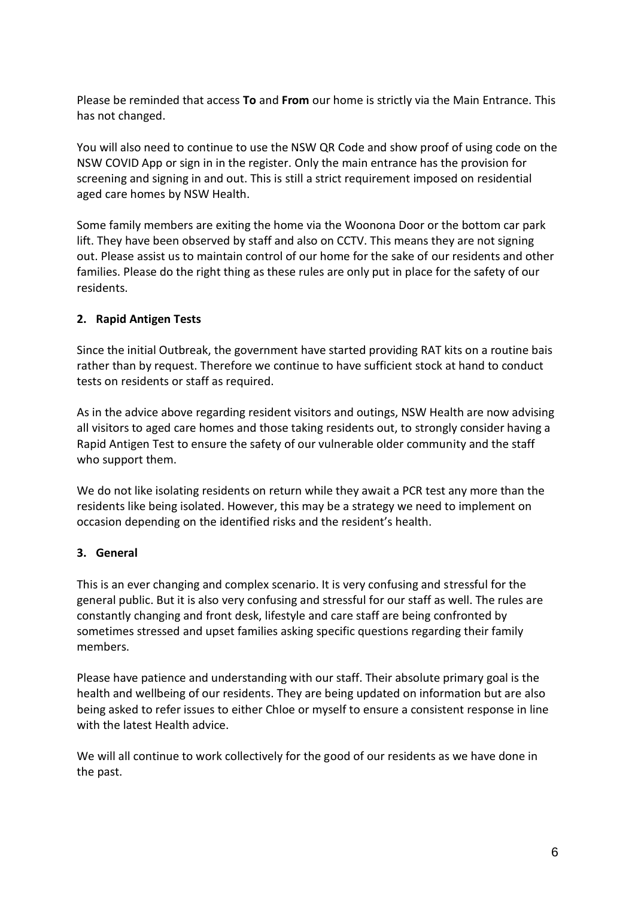Please be reminded that access **To** and **From** our home is strictly via the Main Entrance. This has not changed.

You will also need to continue to use the NSW QR Code and show proof of using code on the NSW COVID App or sign in in the register. Only the main entrance has the provision for screening and signing in and out. This is still a strict requirement imposed on residential aged care homes by NSW Health.

Some family members are exiting the home via the Woonona Door or the bottom car park lift. They have been observed by staff and also on CCTV. This means they are not signing out. Please assist us to maintain control of our home for the sake of our residents and other families. Please do the right thing as these rules are only put in place for the safety of our residents.

#### **2. Rapid Antigen Tests**

Since the initial Outbreak, the government have started providing RAT kits on a routine bais rather than by request. Therefore we continue to have sufficient stock at hand to conduct tests on residents or staff as required.

As in the advice above regarding resident visitors and outings, NSW Health are now advising all visitors to aged care homes and those taking residents out, to strongly consider having a Rapid Antigen Test to ensure the safety of our vulnerable older community and the staff who support them.

We do not like isolating residents on return while they await a PCR test any more than the residents like being isolated. However, this may be a strategy we need to implement on occasion depending on the identified risks and the resident's health.

#### **3. General**

This is an ever changing and complex scenario. It is very confusing and stressful for the general public. But it is also very confusing and stressful for our staff as well. The rules are constantly changing and front desk, lifestyle and care staff are being confronted by sometimes stressed and upset families asking specific questions regarding their family members.

Please have patience and understanding with our staff. Their absolute primary goal is the health and wellbeing of our residents. They are being updated on information but are also being asked to refer issues to either Chloe or myself to ensure a consistent response in line with the latest Health advice.

We will all continue to work collectively for the good of our residents as we have done in the past.